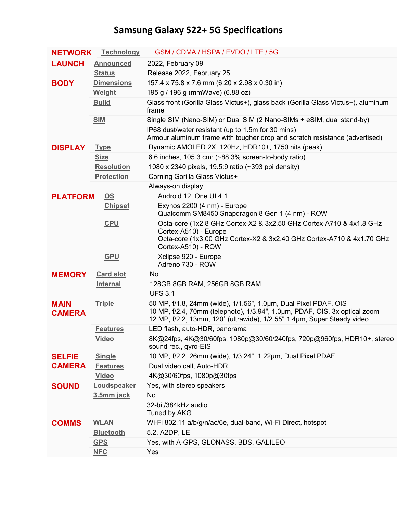## **Samsung Galaxy S22+ 5G Specifications**

| <b>NETWORK</b>               | <b>Technology</b> | <b>GSM / CDMA / HSPA / EVDO / LTE / 5G</b>                                                                                                                                                                               |
|------------------------------|-------------------|--------------------------------------------------------------------------------------------------------------------------------------------------------------------------------------------------------------------------|
| <b>LAUNCH</b>                | <b>Announced</b>  | 2022, February 09                                                                                                                                                                                                        |
|                              | <b>Status</b>     | Release 2022, February 25                                                                                                                                                                                                |
| <b>BODY</b>                  | <b>Dimensions</b> | 157.4 x 75.8 x 7.6 mm (6.20 x 2.98 x 0.30 in)                                                                                                                                                                            |
|                              | Weight            | 195 g / 196 g (mmWave) (6.88 oz)                                                                                                                                                                                         |
|                              | <b>Build</b>      | Glass front (Gorilla Glass Victus+), glass back (Gorilla Glass Victus+), aluminum<br>frame                                                                                                                               |
|                              | <b>SIM</b>        | Single SIM (Nano-SIM) or Dual SIM (2 Nano-SIMs + eSIM, dual stand-by)                                                                                                                                                    |
|                              |                   | IP68 dust/water resistant (up to 1.5m for 30 mins)<br>Armour aluminum frame with tougher drop and scratch resistance (advertised)                                                                                        |
| <b>DISPLAY</b>               | <b>Type</b>       | Dynamic AMOLED 2X, 120Hz, HDR10+, 1750 nits (peak)                                                                                                                                                                       |
|                              | <b>Size</b>       | 6.6 inches, 105.3 cm <sup>2</sup> ( $\sim$ 88.3% screen-to-body ratio)                                                                                                                                                   |
|                              | <b>Resolution</b> | 1080 x 2340 pixels, 19.5:9 ratio (~393 ppi density)                                                                                                                                                                      |
|                              | <b>Protection</b> | Corning Gorilla Glass Victus+                                                                                                                                                                                            |
|                              |                   | Always-on display                                                                                                                                                                                                        |
| <b>PLATFORM</b>              | OS                | Android 12, One UI 4.1                                                                                                                                                                                                   |
|                              | <b>Chipset</b>    | Exynos 2200 (4 nm) - Europe<br>Qualcomm SM8450 Snapdragon 8 Gen 1 (4 nm) - ROW                                                                                                                                           |
|                              | <b>CPU</b>        | Octa-core (1x2.8 GHz Cortex-X2 & 3x2.50 GHz Cortex-A710 & 4x1.8 GHz<br>Cortex-A510) - Europe<br>Octa-core (1x3.00 GHz Cortex-X2 & 3x2.40 GHz Cortex-A710 & 4x1.70 GHz                                                    |
|                              |                   | Cortex-A510) - ROW                                                                                                                                                                                                       |
|                              |                   |                                                                                                                                                                                                                          |
|                              | <b>GPU</b>        | Xclipse 920 - Europe<br>Adreno 730 - ROW                                                                                                                                                                                 |
| <b>MEMORY</b>                | <b>Card slot</b>  | No                                                                                                                                                                                                                       |
|                              | <b>Internal</b>   | 128GB 8GB RAM, 256GB 8GB RAM                                                                                                                                                                                             |
|                              |                   | <b>UFS 3.1</b>                                                                                                                                                                                                           |
| <b>MAIN</b><br><b>CAMERA</b> | <b>Triple</b>     | 50 MP, f/1.8, 24mm (wide), 1/1.56", 1.0um, Dual Pixel PDAF, OIS<br>10 MP, f/2.4, 70mm (telephoto), 1/3.94", 1.0um, PDAF, OIS, 3x optical zoom<br>12 MP, f/2.2, 13mm, 120° (ultrawide), 1/2.55" 1.4µm, Super Steady video |
|                              | <b>Features</b>   | LED flash, auto-HDR, panorama                                                                                                                                                                                            |
|                              | <b>Video</b>      | 8K@24fps, 4K@30/60fps, 1080p@30/60/240fps, 720p@960fps, HDR10+, stereo<br>sound rec., gyro-EIS                                                                                                                           |
| <b>SELFIE</b>                | <b>Single</b>     | 10 MP, f/2.2, 26mm (wide), 1/3.24", 1.22µm, Dual Pixel PDAF                                                                                                                                                              |
| <b>CAMERA</b>                | <b>Features</b>   | Dual video call, Auto-HDR                                                                                                                                                                                                |
|                              | <b>Video</b>      | 4K@30/60fps, 1080p@30fps                                                                                                                                                                                                 |
| <b>SOUND</b>                 | Loudspeaker       | Yes, with stereo speakers                                                                                                                                                                                                |
|                              | 3.5mm jack        | No                                                                                                                                                                                                                       |
|                              |                   | 32-bit/384kHz audio<br>Tuned by AKG                                                                                                                                                                                      |
| <b>COMMS</b>                 | <b>WLAN</b>       | Wi-Fi 802.11 a/b/g/n/ac/6e, dual-band, Wi-Fi Direct, hotspot                                                                                                                                                             |
|                              | <b>Bluetooth</b>  | 5.2, A2DP, LE                                                                                                                                                                                                            |
|                              | <b>GPS</b>        | Yes, with A-GPS, GLONASS, BDS, GALILEO                                                                                                                                                                                   |